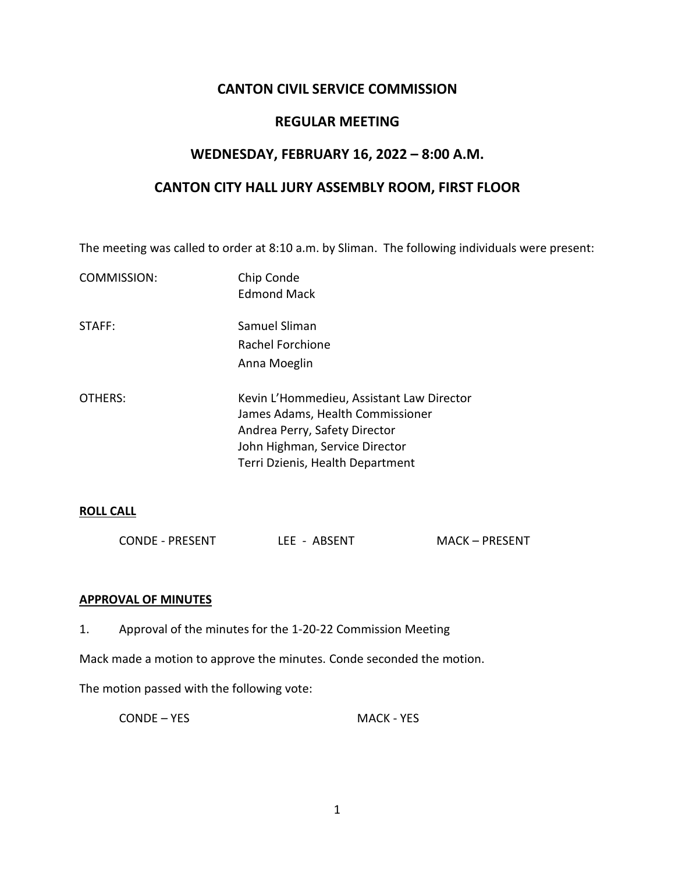# **CANTON CIVIL SERVICE COMMISSION**

## **REGULAR MEETING**

## **WEDNESDAY, FEBRUARY 16, 2022 – 8:00 A.M.**

## **CANTON CITY HALL JURY ASSEMBLY ROOM, FIRST FLOOR**

The meeting was called to order at 8:10 a.m. by Sliman. The following individuals were present:

| COMMISSION: | Chip Conde<br><b>Edmond Mack</b>                                                                                                                                                     |
|-------------|--------------------------------------------------------------------------------------------------------------------------------------------------------------------------------------|
| STAFF:      | Samuel Sliman                                                                                                                                                                        |
|             | Rachel Forchione                                                                                                                                                                     |
|             | Anna Moeglin                                                                                                                                                                         |
| OTHERS:     | Kevin L'Hommedieu, Assistant Law Director<br>James Adams, Health Commissioner<br>Andrea Perry, Safety Director<br>John Highman, Service Director<br>Terri Dzienis, Health Department |

### **ROLL CALL**

| <b>CONDE - PRESENT</b> | LEE - ABSENT | <b>MACK-PRESENT</b> |
|------------------------|--------------|---------------------|
|                        |              |                     |

### **APPROVAL OF MINUTES**

1. Approval of the minutes for the 1-20-22 Commission Meeting

Mack made a motion to approve the minutes. Conde seconded the motion.

The motion passed with the following vote:

CONDE – YES MACK - YES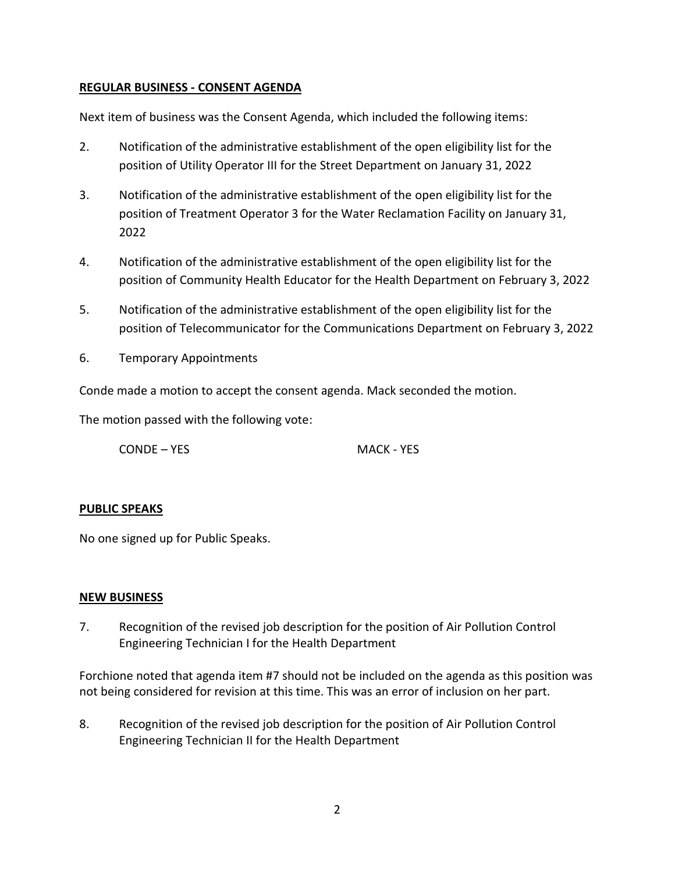## **REGULAR BUSINESS - CONSENT AGENDA**

Next item of business was the Consent Agenda, which included the following items:

- 2. Notification of the administrative establishment of the open eligibility list for the position of Utility Operator III for the Street Department on January 31, 2022
- 3. Notification of the administrative establishment of the open eligibility list for the position of Treatment Operator 3 for the Water Reclamation Facility on January 31, 2022
- 4. Notification of the administrative establishment of the open eligibility list for the position of Community Health Educator for the Health Department on February 3, 2022
- 5. Notification of the administrative establishment of the open eligibility list for the position of Telecommunicator for the Communications Department on February 3, 2022
- 6. Temporary Appointments

Conde made a motion to accept the consent agenda. Mack seconded the motion.

The motion passed with the following vote:

CONDE – YES MACK - YES

### **PUBLIC SPEAKS**

No one signed up for Public Speaks.

### **NEW BUSINESS**

7. Recognition of the revised job description for the position of Air Pollution Control Engineering Technician I for the Health Department

Forchione noted that agenda item #7 should not be included on the agenda as this position was not being considered for revision at this time. This was an error of inclusion on her part.

8. Recognition of the revised job description for the position of Air Pollution Control Engineering Technician II for the Health Department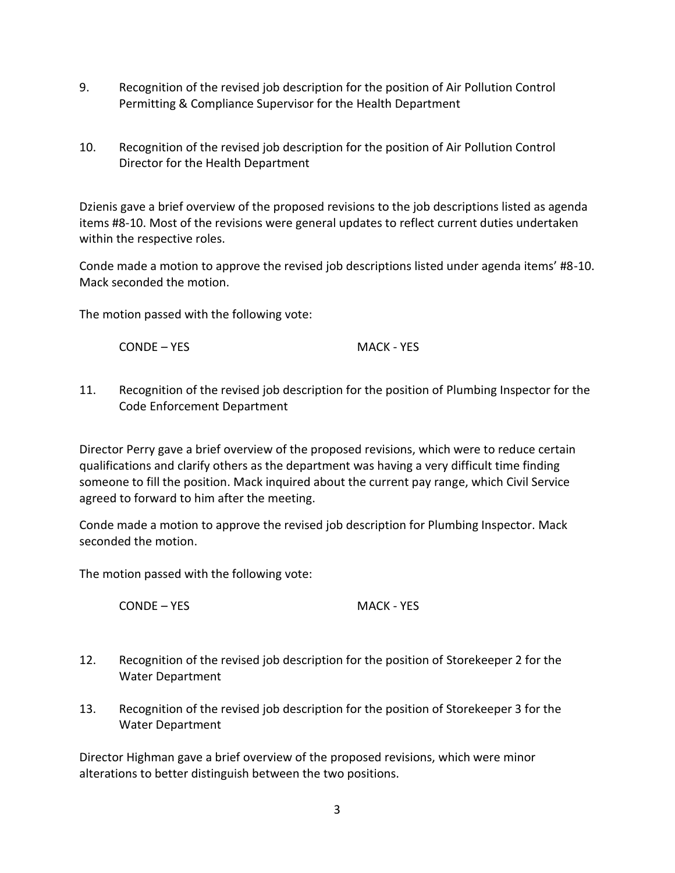- 9. Recognition of the revised job description for the position of Air Pollution Control Permitting & Compliance Supervisor for the Health Department
- 10. Recognition of the revised job description for the position of Air Pollution Control Director for the Health Department

Dzienis gave a brief overview of the proposed revisions to the job descriptions listed as agenda items #8-10. Most of the revisions were general updates to reflect current duties undertaken within the respective roles.

Conde made a motion to approve the revised job descriptions listed under agenda items' #8-10. Mack seconded the motion.

The motion passed with the following vote:

CONDE – YES MACK - YES

11. Recognition of the revised job description for the position of Plumbing Inspector for the Code Enforcement Department

Director Perry gave a brief overview of the proposed revisions, which were to reduce certain qualifications and clarify others as the department was having a very difficult time finding someone to fill the position. Mack inquired about the current pay range, which Civil Service agreed to forward to him after the meeting.

Conde made a motion to approve the revised job description for Plumbing Inspector. Mack seconded the motion.

The motion passed with the following vote:

CONDE – YES MACK - YES

- 12. Recognition of the revised job description for the position of Storekeeper 2 for the Water Department
- 13. Recognition of the revised job description for the position of Storekeeper 3 for the Water Department

Director Highman gave a brief overview of the proposed revisions, which were minor alterations to better distinguish between the two positions.